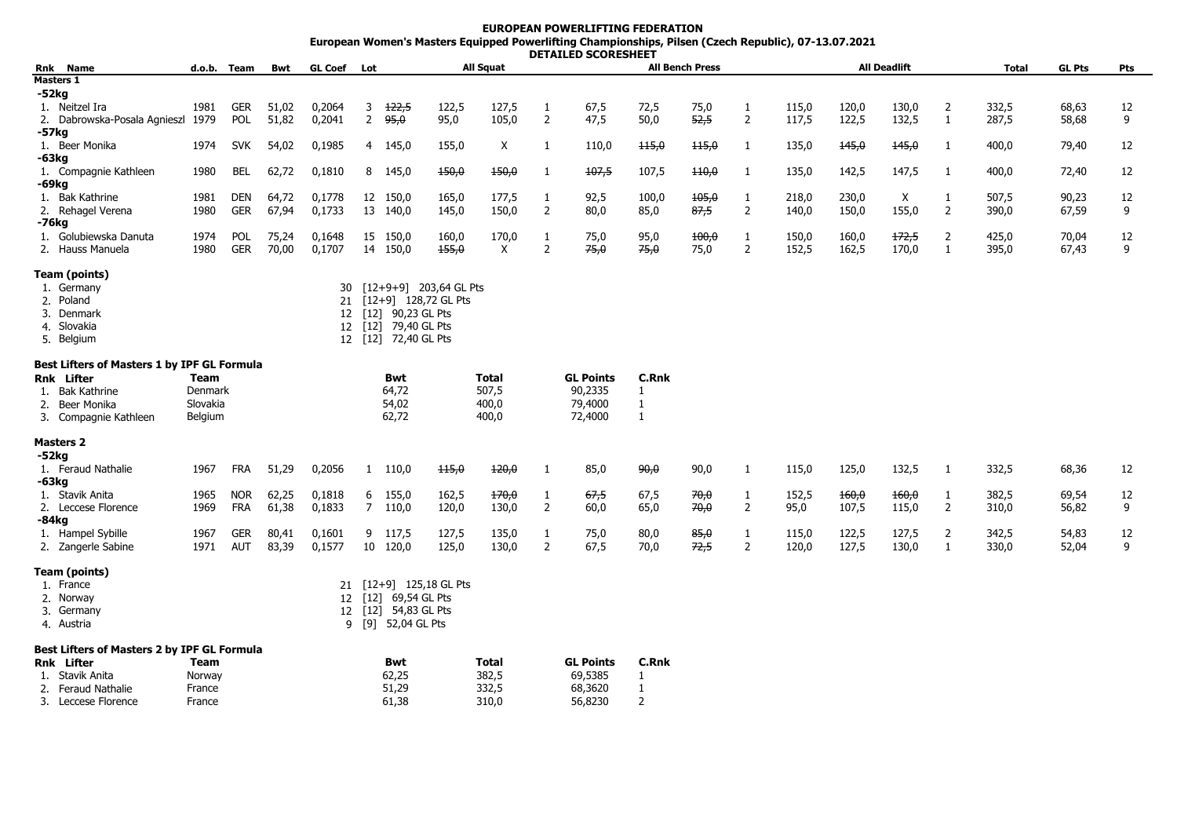## **EUROPEAN POWERLIFTING FEDERATION European Women's Masters Equipped Powerlifting Championships, Pilsen (Czech Republic), 07-13.07.2021 DETAILED SCORESHEET**

|                                             |          |             |       | <b>GL Coef</b>  |                |                   |                        |              | DLIMILLD JUUNLJIILLI |                  |              |                        |                |       |       |                     |              |              |               |     |
|---------------------------------------------|----------|-------------|-------|-----------------|----------------|-------------------|------------------------|--------------|----------------------|------------------|--------------|------------------------|----------------|-------|-------|---------------------|--------------|--------------|---------------|-----|
| Rnk Name                                    |          | d.o.b. Team | Bwt   |                 | Lot            |                   |                        | All Squat    |                      |                  |              | <b>All Bench Press</b> |                |       |       | <b>All Deadlift</b> |              | <b>Total</b> | <b>GL Pts</b> | Pts |
| Masters 1                                   |          |             |       |                 |                |                   |                        |              |                      |                  |              |                        |                |       |       |                     |              |              |               |     |
| -52kg                                       |          |             |       |                 |                |                   |                        |              |                      |                  |              |                        |                |       |       |                     |              |              |               |     |
| 1. Neitzel Ira                              | 1981     | <b>GER</b>  | 51,02 | 0,2064          | 3              | 122,5             | 122,5                  | 127,5        | 1                    | 67,5             | 72,5         | 75,0                   | 1              | 115,0 | 120,0 | 130,0               | 2            | 332,5        | 68,63         | 12  |
| 2. Dabrowska-Posala Agnieszl                | 1979     | <b>POL</b>  | 51,82 | 0,2041          | $\overline{2}$ | 95,0              | 95,0                   | 105,0        | 2                    | 47,5             | 50,0         | 52,5                   | $\overline{2}$ | 117,5 | 122,5 | 132,5               | $\mathbf{1}$ | 287,5        | 58,68         | 9   |
| -57kg                                       |          |             |       |                 |                |                   |                        |              |                      |                  |              |                        |                |       |       |                     |              |              |               |     |
| 1. Beer Monika                              | 1974     | <b>SVK</b>  | 54,02 | 0,1985          |                | 4 145,0           | 155,0                  | X            | 1                    | 110,0            | 115,0        | 115,0                  | 1              | 135,0 | 145,0 | 145,0               | -1           | 400,0        | 79,40         | 12  |
| -63kg                                       |          |             |       |                 |                |                   |                        |              |                      |                  |              |                        |                |       |       |                     |              |              |               |     |
| 1. Compagnie Kathleen                       | 1980     | <b>BEL</b>  | 62,72 | 0,1810          | 8              | 145,0             | 150,0                  | 150,0        | 1                    | 107,5            | 107,5        | $+10,0$                | 1              | 135,0 | 142,5 | 147,5               | 1            | 400,0        | 72,40         | 12  |
| -69kg                                       |          |             |       |                 |                |                   |                        |              |                      |                  |              |                        |                |       |       |                     |              |              |               |     |
| 1. Bak Kathrine                             | 1981     | DEN         | 64,72 | 0,1778          |                | 12 150,0          | 165,0                  | 177,5        | 1                    | 92,5             | 100,0        | 105,0                  | 1              | 218,0 | 230,0 | X                   | $\mathbf{1}$ | 507,5        | 90,23         | 12  |
| 2. Rehagel Verena                           | 1980     | <b>GER</b>  | 67,94 | 0,1733          |                | 13 140,0          | 145,0                  | 150,0        | 2                    | 80,0             | 85,0         | 87,5                   | $\overline{2}$ | 140,0 | 150,0 | 155,0               | 2            | 390,0        | 67,59         | 9   |
| -76kg                                       |          |             |       |                 |                |                   |                        |              |                      |                  |              |                        |                |       |       |                     |              |              |               |     |
| 1. Golubiewska Danuta                       | 1974     | <b>POL</b>  | 75,24 | 0,1648          |                | 15 150,0          | 160,0                  | 170,0        | 1                    | 75,0             | 95,0         | 100,0                  | 1              | 150,0 | 160,0 | 172,5               | 2            | 425,0        | 70,04         | 12  |
| 2. Hauss Manuela                            | 1980     | <b>GER</b>  | 70,00 | 0,1707          |                | 14 150,0          | 155,0                  | $\times$     | 2                    | 75,0             | 75,0         | 75,0                   | 2              | 152,5 | 162,5 | 170,0               | 1            | 395,0        | 67,43         | 9   |
|                                             |          |             |       |                 |                |                   |                        |              |                      |                  |              |                        |                |       |       |                     |              |              |               |     |
| Team (points)                               |          |             |       |                 |                |                   |                        |              |                      |                  |              |                        |                |       |       |                     |              |              |               |     |
| 1. Germany                                  |          |             |       | 30              |                |                   | [12+9+9] 203,64 GL Pts |              |                      |                  |              |                        |                |       |       |                     |              |              |               |     |
| 2. Poland                                   |          |             |       | 21              |                |                   | [12+9] 128,72 GL Pts   |              |                      |                  |              |                        |                |       |       |                     |              |              |               |     |
| 3. Denmark                                  |          |             |       | 12              |                | [12] 90,23 GL Pts |                        |              |                      |                  |              |                        |                |       |       |                     |              |              |               |     |
| 4. Slovakia                                 |          |             |       | 12              | $[12]$         | 79,40 GL Pts      |                        |              |                      |                  |              |                        |                |       |       |                     |              |              |               |     |
| 5. Belgium                                  |          |             |       | 12 <sup>2</sup> |                | [12] 72,40 GL Pts |                        |              |                      |                  |              |                        |                |       |       |                     |              |              |               |     |
|                                             |          |             |       |                 |                |                   |                        |              |                      |                  |              |                        |                |       |       |                     |              |              |               |     |
| Best Lifters of Masters 1 by IPF GL Formula |          |             |       |                 |                |                   |                        |              |                      |                  |              |                        |                |       |       |                     |              |              |               |     |
| Rnk Lifter                                  | Team     |             |       |                 |                | Bwt               |                        | <b>Total</b> |                      | <b>GL Points</b> | <b>C.Rnk</b> |                        |                |       |       |                     |              |              |               |     |
| Bak Kathrine<br>1.                          | Denmark  |             |       |                 |                | 64,72             |                        | 507,5        |                      | 90,2335          | $\mathbf{1}$ |                        |                |       |       |                     |              |              |               |     |
| Beer Monika<br>2.                           | Slovakia |             |       |                 |                | 54,02             |                        | 400,0        |                      | 79,4000          | $\mathbf{1}$ |                        |                |       |       |                     |              |              |               |     |
| 3. Compagnie Kathleen                       | Belgium  |             |       |                 |                | 62,72             |                        | 400,0        |                      | 72,4000          | $\mathbf{1}$ |                        |                |       |       |                     |              |              |               |     |
|                                             |          |             |       |                 |                |                   |                        |              |                      |                  |              |                        |                |       |       |                     |              |              |               |     |
| <b>Masters 2</b>                            |          |             |       |                 |                |                   |                        |              |                      |                  |              |                        |                |       |       |                     |              |              |               |     |
| $-52kg$                                     |          |             |       |                 |                |                   |                        |              |                      |                  |              |                        |                |       |       |                     |              |              |               |     |
| 1. Feraud Nathalie                          | 1967     | FRA         | 51,29 | 0,2056          |                | 1 110,0           | 115,0                  | 120,0        | 1                    | 85,0             | 90,0         | 90,0                   | 1              | 115,0 | 125,0 | 132,5               | 1            | 332,5        | 68,36         | 12  |
| -63kg                                       |          |             |       |                 |                |                   |                        |              |                      |                  |              |                        |                |       |       |                     |              |              |               |     |
| 1. Stavik Anita                             | 1965     | <b>NOR</b>  | 62,25 | 0,1818          | 6              | 155,0             | 162,5                  | 170,0        | $\mathbf{1}$         | 67,5             | 67,5         | 70,0                   | 1              | 152,5 | 160,0 | 160,0               | 1            | 382,5        | 69,54         | 12  |
| 2. Leccese Florence                         | 1969     | <b>FRA</b>  | 61,38 | 0,1833          | $7^{\circ}$    | 110,0             | 120,0                  | 130,0        | 2                    | 60,0             | 65,0         | 70,0                   | 2              | 95,0  | 107,5 | 115,0               | 2            | 310,0        | 56,82         | 9   |
| -84kg                                       |          |             |       |                 |                |                   |                        |              |                      |                  |              |                        |                |       |       |                     |              |              |               |     |
| 1. Hampel Sybille                           | 1967     | <b>GER</b>  | 80,41 | 0,1601          |                | 9 117,5           | 127,5                  | 135,0        | 1                    | 75,0             | 80,0         | 85,0                   | 1              | 115,0 | 122,5 | 127,5               | 2            | 342,5        | 54,83         | 12  |
| 2. Zangerle Sabine                          | 1971     | <b>AUT</b>  | 83,39 | 0,1577          | 10             | 120,0             | 125,0                  | 130,0        | $\overline{2}$       | 67,5             | 70,0         | 72,5                   | $\overline{2}$ | 120,0 | 127,5 | 130,0               | 1            | 330,0        | 52,04         | 9   |
|                                             |          |             |       |                 |                |                   |                        |              |                      |                  |              |                        |                |       |       |                     |              |              |               |     |
| Team (points)                               |          |             |       |                 |                |                   |                        |              |                      |                  |              |                        |                |       |       |                     |              |              |               |     |
| 1. France                                   |          |             |       | 21              |                |                   | [12+9] 125,18 GL Pts   |              |                      |                  |              |                        |                |       |       |                     |              |              |               |     |
| 2. Norway                                   |          |             |       | 12              | $[12]$         | 69,54 GL Pts      |                        |              |                      |                  |              |                        |                |       |       |                     |              |              |               |     |
| 3. Germany                                  |          |             |       | 12              | $[12]$         | 54,83 GL Pts      |                        |              |                      |                  |              |                        |                |       |       |                     |              |              |               |     |
| 4. Austria                                  |          |             |       | 9               |                | [9] 52,04 GL Pts  |                        |              |                      |                  |              |                        |                |       |       |                     |              |              |               |     |
|                                             |          |             |       |                 |                |                   |                        |              |                      |                  |              |                        |                |       |       |                     |              |              |               |     |
| Best Lifters of Masters 2 by IPF GL Formula |          |             |       |                 |                |                   |                        |              |                      |                  |              |                        |                |       |       |                     |              |              |               |     |
| Rnk Lifter                                  | Team     |             |       |                 |                | Bwt               |                        | <b>Total</b> |                      | <b>GL Points</b> | C.Rnk        |                        |                |       |       |                     |              |              |               |     |

| Rnk | Lifter           | Team   | <b>Bwt</b> | Total | <b>GL Points</b> | C.Rnk |
|-----|------------------|--------|------------|-------|------------------|-------|
|     | 1. Stavik Anita  | Norway | 62,25      | 382,5 | 69,5385          |       |
|     | Feraud Nathalie  | France | 51.29      | 332.5 | 68,3620          |       |
| 3.  | Leccese Florence | France | 61,38      | 310.0 | 56,8230          |       |